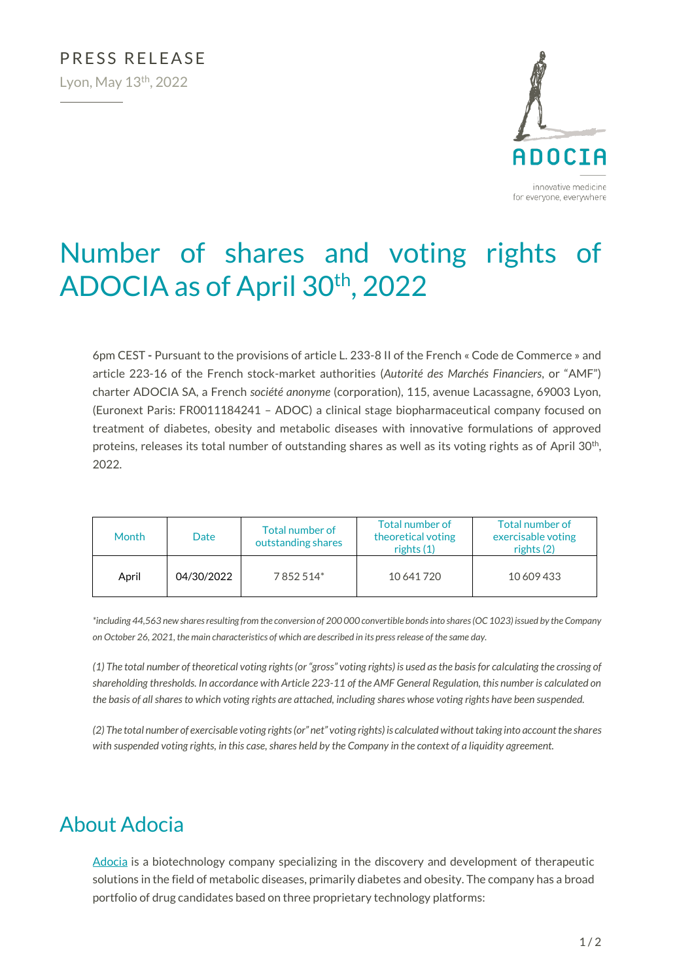

# Number of shares and voting rights of ADOCIA as of April 30<sup>th</sup>, 2022

6pm CEST **-** Pursuant to the provisions of article L. 233-8 II of the French « Code de Commerce » and article 223-16 of the French stock-market authorities (*Autorité des Marchés Financiers*, or "AMF") charter ADOCIA SA, a French *société anonyme* (corporation), 115, avenue Lacassagne, 69003 Lyon, (Euronext Paris: FR0011184241 – ADOC) a clinical stage biopharmaceutical company focused on treatment of diabetes, obesity and metabolic diseases with innovative formulations of approved proteins, releases its total number of outstanding shares as well as its voting rights as of April 30<sup>th</sup>, 2022.

| <b>Month</b> | Date       | Total number of<br>outstanding shares | Total number of<br>theoretical voting<br>rights (1) | Total number of<br>exercisable voting<br>rights $(2)$ |
|--------------|------------|---------------------------------------|-----------------------------------------------------|-------------------------------------------------------|
| April        | 04/30/2022 | 7852514*                              | 10 641 720                                          | 10 609 433                                            |

*\*including 44,563 new shares resulting from the conversion of 200 000 convertible bondsinto shares (OC 1023) issued by the Company on October 26, 2021, the main characteristics of which are described in its press release of the same day.*

*(1) The total number of theoretical voting rights (or "gross" voting rights) is used as the basis for calculating the crossing of shareholding thresholds. In accordance with Article 223-11 of the AMF General Regulation, this number is calculated on the basis of all shares to which voting rights are attached, including shares whose voting rights have been suspended.*

*(2) The total number of exercisable voting rights (or" net" voting rights) is calculated without taking into account the shares with suspended voting rights, in this case, shares held by the Company in the context of a liquidity agreement.*

## About Adocia

[Adocia](http://www.adocia.com/) is a biotechnology company specializing in the discovery and development of therapeutic solutions in the field of metabolic diseases, primarily diabetes and obesity. The company has a broad portfolio of drug candidates based on three proprietary technology platforms: